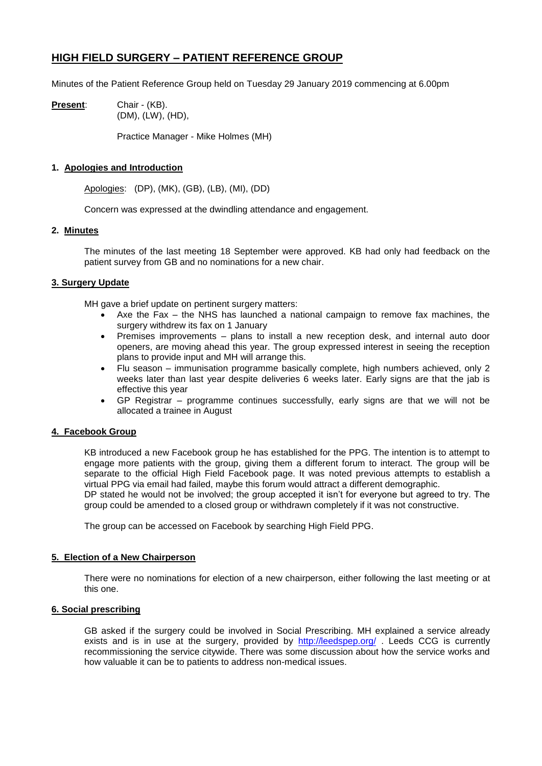# **HIGH FIELD SURGERY – PATIENT REFERENCE GROUP**

Minutes of the Patient Reference Group held on Tuesday 29 January 2019 commencing at 6.00pm

**Present**: Chair - (KB). (DM), (LW), (HD),

Practice Manager - Mike Holmes (MH)

# **1. Apologies and Introduction**

Apologies: (DP), (MK), (GB), (LB), (MI), (DD)

Concern was expressed at the dwindling attendance and engagement.

# **2. Minutes**

The minutes of the last meeting 18 September were approved. KB had only had feedback on the patient survey from GB and no nominations for a new chair.

# **3. Surgery Update**

MH gave a brief update on pertinent surgery matters:

- Axe the Fax the NHS has launched a national campaign to remove fax machines, the surgery withdrew its fax on 1 January
- Premises improvements plans to install a new reception desk, and internal auto door openers, are moving ahead this year. The group expressed interest in seeing the reception plans to provide input and MH will arrange this.
- Flu season immunisation programme basically complete, high numbers achieved, only 2 weeks later than last year despite deliveries 6 weeks later. Early signs are that the jab is effective this year
- GP Registrar programme continues successfully, early signs are that we will not be allocated a trainee in August

## **4. Facebook Group**

KB introduced a new Facebook group he has established for the PPG. The intention is to attempt to engage more patients with the group, giving them a different forum to interact. The group will be separate to the official High Field Facebook page. It was noted previous attempts to establish a virtual PPG via email had failed, maybe this forum would attract a different demographic.

DP stated he would not be involved; the group accepted it isn't for everyone but agreed to try. The group could be amended to a closed group or withdrawn completely if it was not constructive.

The group can be accessed on Facebook by searching High Field PPG.

## **5. Election of a New Chairperson**

There were no nominations for election of a new chairperson, either following the last meeting or at this one.

## **6. Social prescribing**

GB asked if the surgery could be involved in Social Prescribing. MH explained a service already exists and is in use at the surgery, provided by <http://leedspep.org/> . Leeds CCG is currently recommissioning the service citywide. There was some discussion about how the service works and how valuable it can be to patients to address non-medical issues.